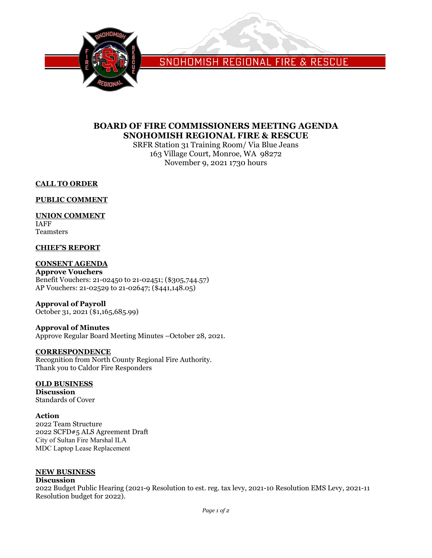

SNOHOMISH REGIONAL FIRE & RESCUE

## **BOARD OF FIRE COMMISSIONERS MEETING AGENDA SNOHOMISH REGIONAL FIRE & RESCUE**

SRFR Station 31 Training Room/ Via Blue Jeans 163 Village Court, Monroe, WA 98272 November 9, 2021 1730 hours

## **CALL TO ORDER**

## **PUBLIC COMMENT**

## **UNION COMMENT**

IAFF Teamsters

## **CHIEF'S REPORT**

## **CONSENT AGENDA**

**Approve Vouchers** Benefit Vouchers: 21-02450 to 21-02451; (\$305,744.57) AP Vouchers: 21-02529 to 21-02647; (\$441,148.05)

# **Approval of Payroll**

October 31, 2021 (\$1,165,685.99)

#### **Approval of Minutes** Approve Regular Board Meeting Minutes –October 28, 2021.

## **CORRESPONDENCE**

Recognition from North County Regional Fire Authority. Thank you to Caldor Fire Responders

## **OLD BUSINESS**

**Discussion** Standards of Cover

#### **Action**

2022 Team Structure 2022 SCFD#5 ALS Agreement Draft City of Sultan Fire Marshal ILA MDC Laptop Lease Replacement

## **NEW BUSINESS**

#### **Discussion**

2022 Budget Public Hearing (2021-9 Resolution to est. reg. tax levy, 2021-10 Resolution EMS Levy, 2021-11 Resolution budget for 2022).